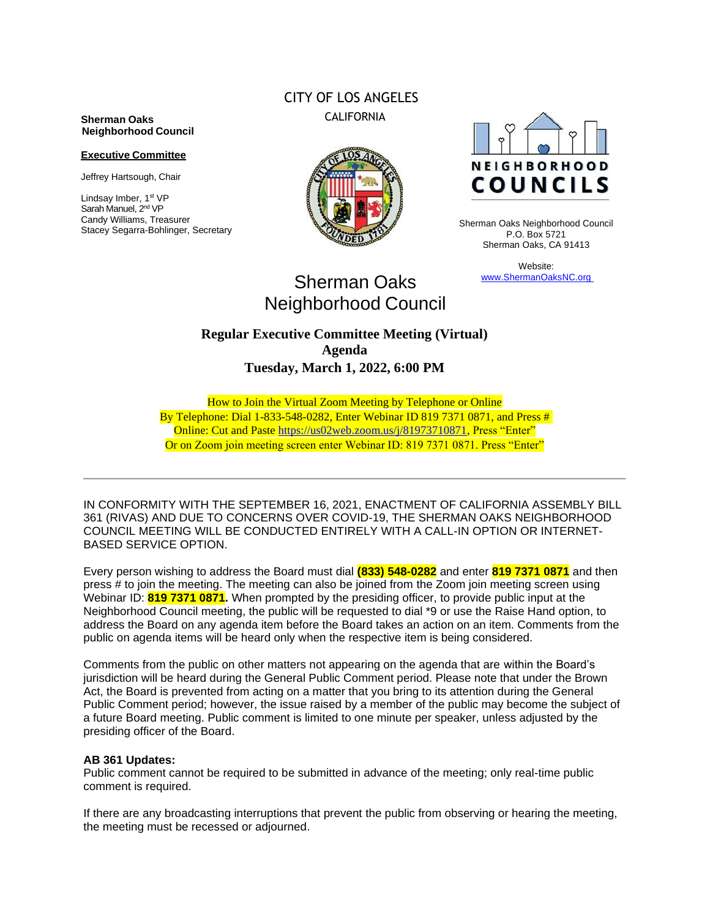#### **Sherman Oaks Neighborhood Council**

#### **Executive Committee**

Jeffrey Hartsough, Chair

Lindsay Imber, 1st VP Sarah Manuel, 2<sup>nd</sup> VP Candy Williams, Treasurer Stacey Segarra-Bohlinger, Secretary

## CITY OF LOS ANGELES CALIFORNIA





Sherman Oaks Neighborhood Council P.O. Box 5721 Sherman Oaks, CA 91413

> Website: www.ShermanOaksNC.org

# Sherman Oaks Neighborhood Council

## **Regular Executive Committee Meeting (Virtual) Agenda Tuesday, March 1, 2022, 6:00 PM**

How to Join the Virtual Zoom Meeting by Telephone or Online By Telephone: Dial 1-833-548-0282, Enter Webinar ID 819 7371 0871, and Press # Online: Cut and Paste [https://us02web.zoom.us/j/81973710871,](https://us02web.zoom.us/j/81973710871) Press "Enter" Or on Zoom join meeting screen enter Webinar ID: 819 7371 0871. Press "Enter"

IN CONFORMITY WITH THE SEPTEMBER 16, 2021, ENACTMENT OF CALIFORNIA ASSEMBLY BILL 361 (RIVAS) AND DUE TO CONCERNS OVER COVID-19, THE SHERMAN OAKS NEIGHBORHOOD COUNCIL MEETING WILL BE CONDUCTED ENTIRELY WITH A CALL-IN OPTION OR INTERNET-BASED SERVICE OPTION.

Every person wishing to address the Board must dial **(833) 548-0282** and enter **819 7371 0871** and then press # to join the meeting. The meeting can also be joined from the Zoom join meeting screen using Webinar ID: **819 7371 0871.** When prompted by the presiding officer, to provide public input at the Neighborhood Council meeting, the public will be requested to dial \*9 or use the Raise Hand option, to address the Board on any agenda item before the Board takes an action on an item. Comments from the public on agenda items will be heard only when the respective item is being considered.

Comments from the public on other matters not appearing on the agenda that are within the Board's jurisdiction will be heard during the General Public Comment period. Please note that under the Brown Act, the Board is prevented from acting on a matter that you bring to its attention during the General Public Comment period; however, the issue raised by a member of the public may become the subject of a future Board meeting. Public comment is limited to one minute per speaker, unless adjusted by the presiding officer of the Board.

#### **AB 361 Updates:**

Public comment cannot be required to be submitted in advance of the meeting; only real-time public comment is required.

If there are any broadcasting interruptions that prevent the public from observing or hearing the meeting, the meeting must be recessed or adjourned.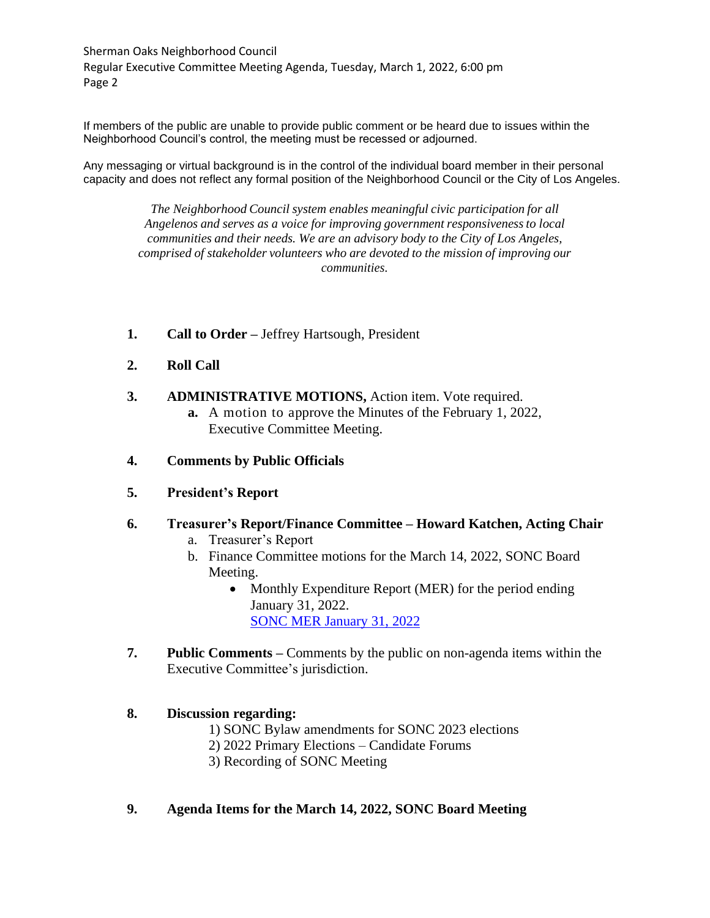Sherman Oaks Neighborhood Council Regular Executive Committee Meeting Agenda, Tuesday, March 1, 2022, 6:00 pm Page 2

If members of the public are unable to provide public comment or be heard due to issues within the Neighborhood Council's control, the meeting must be recessed or adjourned.

Any messaging or virtual background is in the control of the individual board member in their personal capacity and does not reflect any formal position of the Neighborhood Council or the City of Los Angeles.

> *The Neighborhood Council system enables meaningful civic participation for all Angelenos and serves as a voice for improving government responsivenessto local communities and their needs. We are an advisory body to the City of Los Angeles, comprised of stakeholder volunteers who are devoted to the mission of improving our communities.*

- **1. Call to Order –** Jeffrey Hartsough, President
- **2. Roll Call**
- **3. ADMINISTRATIVE MOTIONS,** Action item. Vote required.
	- **a.** A motion to approve the Minutes of the February 1, 2022, Executive Committee Meeting.
- **4. Comments by Public Officials**
- **5. President's Report**
- **6. Treasurer's Report/Finance Committee – Howard Katchen, Acting Chair**
	- a. Treasurer's Report
	- b. Finance Committee motions for the March 14, 2022, SONC Board Meeting.
		- Monthly Expenditure Report (MER) for the period ending January 31, 2022. [SONC MER January 31, 2022](https://www.shermanoaksnc.org/ncfiles/viewCommitteeFile/28735)
- **7. Public Comments –** Comments by the public on non-agenda items within the Executive Committee's jurisdiction.

#### **8. Discussion regarding:**

- 1) SONC Bylaw amendments for SONC 2023 elections
- 2) 2022 Primary Elections Candidate Forums
- 3) Recording of SONC Meeting

#### **9. Agenda Items for the March 14, 2022, SONC Board Meeting**